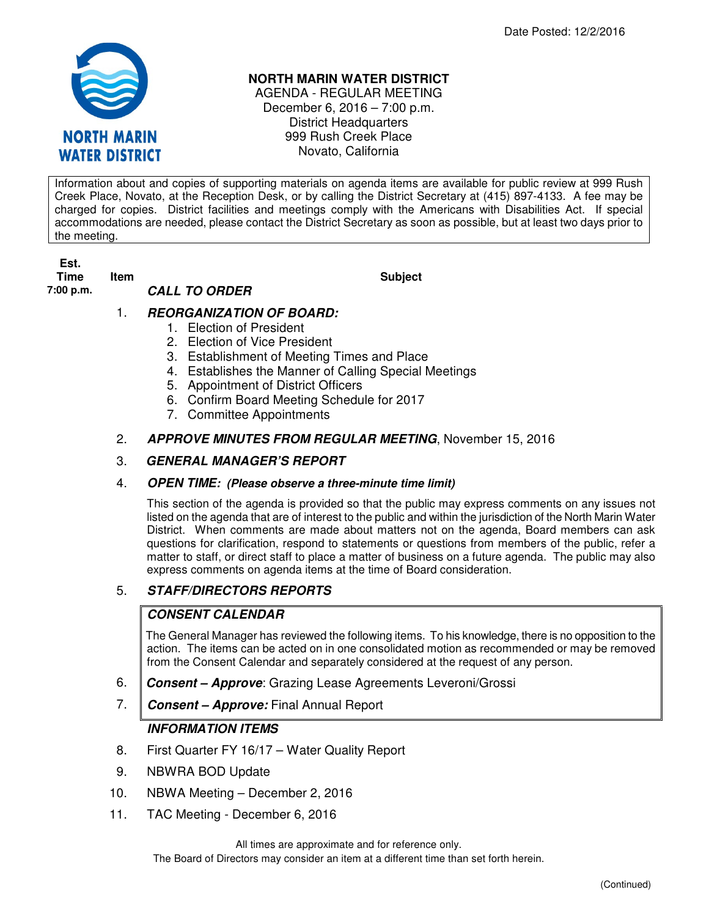

# **NORTH MARIN WATER DISTRICT**

AGENDA - REGULAR MEETING December 6, 2016 – 7:00 p.m. District Headquarters 999 Rush Creek Place Novato, California

Information about and copies of supporting materials on agenda items are available for public review at 999 Rush Creek Place, Novato, at the Reception Desk, or by calling the District Secretary at (415) 897-4133. A fee may be charged for copies. District facilities and meetings comply with the Americans with Disabilities Act. If special accommodations are needed, please contact the District Secretary as soon as possible, but at least two days prior to the meeting.

**Est. Time Item Subject 7:00 p.m. CALL TO ORDER** 

# 1. **REORGANIZATION OF BOARD:**

- 1. Election of President
- 2. Election of Vice President
- 3. Establishment of Meeting Times and Place
- 4. Establishes the Manner of Calling Special Meetings
- 5. Appointment of District Officers
- 6. Confirm Board Meeting Schedule for 2017
- 7. Committee Appointments
- 2. **APPROVE MINUTES FROM REGULAR MEETING**, November 15, 2016

# 3. **GENERAL MANAGER'S REPORT**

# 4. **OPEN TIME: (Please observe a three-minute time limit)**

This section of the agenda is provided so that the public may express comments on any issues not listed on the agenda that are of interest to the public and within the jurisdiction of the North Marin Water District. When comments are made about matters not on the agenda, Board members can ask questions for clarification, respond to statements or questions from members of the public, refer a matter to staff, or direct staff to place a matter of business on a future agenda. The public may also express comments on agenda items at the time of Board consideration.

# 5. **STAFF/DIRECTORS REPORTS**

# **CONSENT CALENDAR**

The General Manager has reviewed the following items. To his knowledge, there is no opposition to the action. The items can be acted on in one consolidated motion as recommended or may be removed from the Consent Calendar and separately considered at the request of any person.

- 6. **Consent Approve**: Grazing Lease Agreements Leveroni/Grossi
- 7. **Consent Approve:** Final Annual Report

# **INFORMATION ITEMS**

- 8. First Quarter FY 16/17 Water Quality Report
- 9. NBWRA BOD Update
- 10. NBWA Meeting December 2, 2016
- 11. TAC Meeting December 6, 2016

All times are approximate and for reference only.

The Board of Directors may consider an item at a different time than set forth herein.